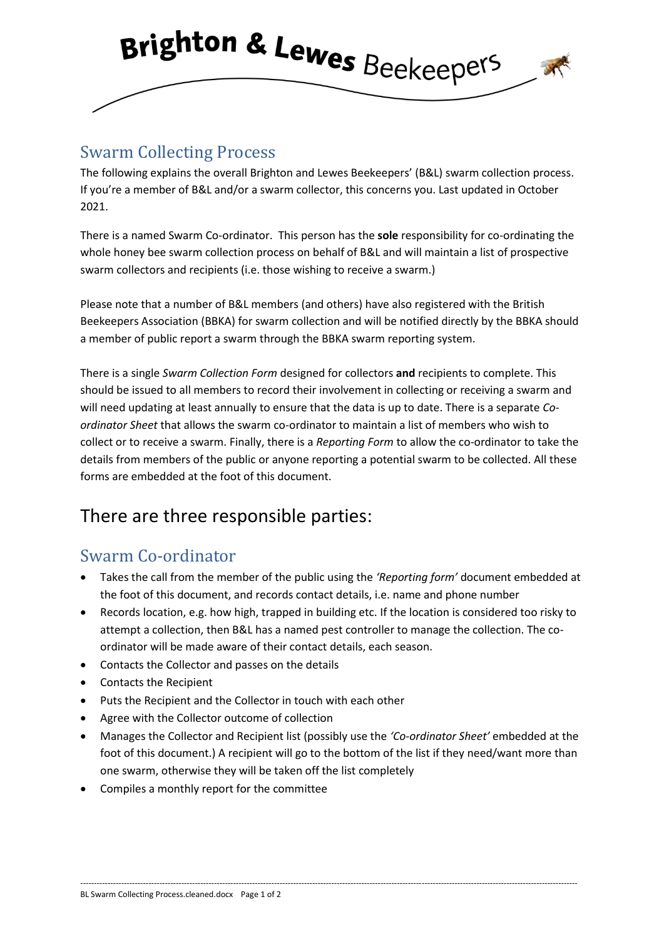

#### Swarm Collecting Process

The following explains the overall Brighton and Lewes Beekeepers' (B&L) swarm collection process. If you're a member of B&L and/or a swarm collector, this concerns you. Last updated in October 2021.

There is a named Swarm Co-ordinator. This person has the **sole** responsibility for co-ordinating the whole honey bee swarm collection process on behalf of B&L and will maintain a list of prospective swarm collectors and recipients (i.e. those wishing to receive a swarm.)

Please note that a number of B&L members (and others) have also registered with the British Beekeepers Association (BBKA) for swarm collection and will be notified directly by the BBKA should a member of public report a swarm through the BBKA swarm reporting system.

There is a single *Swarm Collection Form* designed for collectors **and** recipients to complete. This should be issued to all members to record their involvement in collecting or receiving a swarm and will need updating at least annually to ensure that the data is up to date. There is a separate *Coordinator Sheet* that allows the swarm co-ordinator to maintain a list of members who wish to collect or to receive a swarm. Finally, there is a *Reporting Form* to allow the co-ordinator to take the details from members of the public or anyone reporting a potential swarm to be collected. All these forms are embedded at the foot of this document.

## There are three responsible parties:

### Swarm Co-ordinator

- Takes the call from the member of the public using the *'Reporting form'* document embedded at the foot of this document, and records contact details, i.e. name and phone number
- Records location, e.g. how high, trapped in building etc. If the location is considered too risky to attempt a collection, then B&L has a named pest controller to manage the collection. The coordinator will be made aware of their contact details, each season.
- Contacts the Collector and passes on the details
- Contacts the Recipient
- Puts the Recipient and the Collector in touch with each other
- Agree with the Collector outcome of collection
- Manages the Collector and Recipient list (possibly use the *'Co-ordinator Sheet'* embedded at the foot of this document.) A recipient will go to the bottom of the list if they need/want more than one swarm, otherwise they will be taken off the list completely

--------------------------------------------------------------------------------------------------------------------------------------------------------------------------------------

• Compiles a monthly report for the committee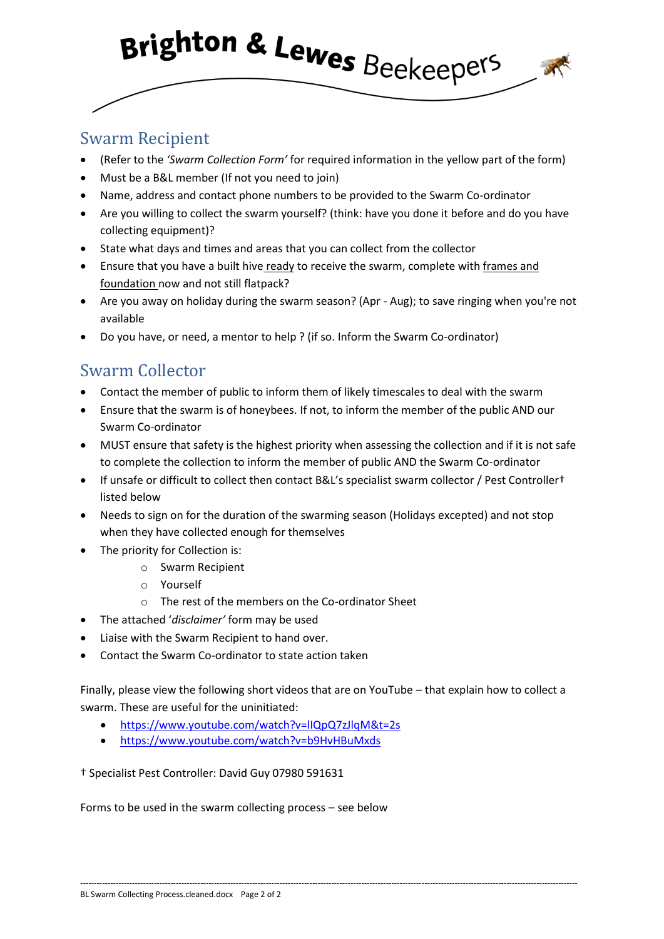# Brighton & Lewes Beekeepers

### Swarm Recipient

- (Refer to the *'Swarm Collection Form'* for required information in the yellow part of the form)
- Must be a B&L member (If not you need to join)
- Name, address and contact phone numbers to be provided to the Swarm Co-ordinator
- Are you willing to collect the swarm yourself? (think: have you done it before and do you have collecting equipment)?
- State what days and times and areas that you can collect from the collector
- Ensure that you have a built hive ready to receive the swarm, complete with frames and foundation now and not still flatpack?
- Are you away on holiday during the swarm season? (Apr Aug); to save ringing when you're not available
- Do you have, or need, a mentor to help ? (if so. Inform the Swarm Co-ordinator)

## Swarm Collector

- Contact the member of public to inform them of likely timescales to deal with the swarm
- Ensure that the swarm is of honeybees. If not, to inform the member of the public AND our Swarm Co-ordinator
- MUST ensure that safety is the highest priority when assessing the collection and if it is not safe to complete the collection to inform the member of public AND the Swarm Co-ordinator
- If unsafe or difficult to collect then contact B&L's specialist swarm collector / Pest Controller† listed below
- Needs to sign on for the duration of the swarming season (Holidays excepted) and not stop when they have collected enough for themselves
- The priority for Collection is:
	- o Swarm Recipient
	- o Yourself
	- o The rest of the members on the Co-ordinator Sheet
- The attached '*disclaimer'* form may be used
- Liaise with the Swarm Recipient to hand over.
- Contact the Swarm Co-ordinator to state action taken

Finally, please view the following short videos that are on YouTube – that explain how to collect a swarm. These are useful for the uninitiated:

--------------------------------------------------------------------------------------------------------------------------------------------------------------------------------------

- <https://www.youtube.com/watch?v=lIQpQ7zJlqM&t=2s>
- <https://www.youtube.com/watch?v=b9HvHBuMxds>

† Specialist Pest Controller: David Guy 07980 591631

Forms to be used in the swarm collecting process – see below